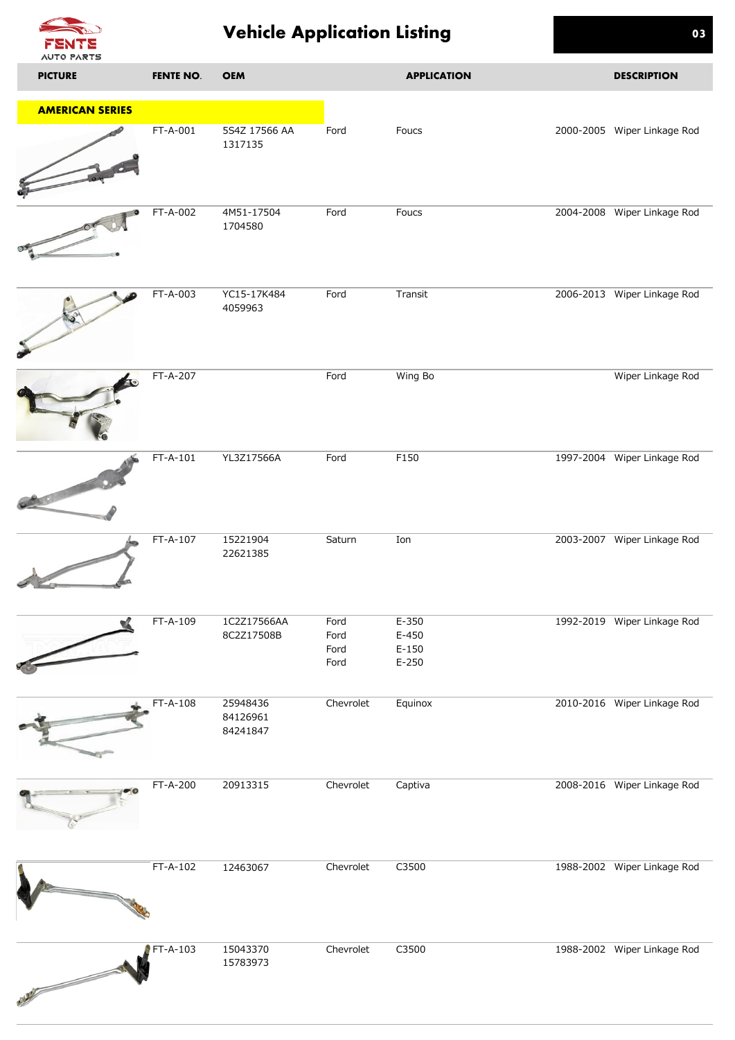

## **Vehicle Application Listing 03**

| <b>AUTO PARTS</b>      |                  |                                  |                              |                                          |                             |
|------------------------|------------------|----------------------------------|------------------------------|------------------------------------------|-----------------------------|
| <b>PICTURE</b>         | <b>FENTE NO.</b> | <b>OEM</b>                       |                              | <b>APPLICATION</b>                       | <b>DESCRIPTION</b>          |
| <b>AMERICAN SERIES</b> |                  |                                  |                              |                                          |                             |
|                        | FT-A-001         | 5S4Z 17566 AA<br>1317135         | Ford                         | Foucs                                    | 2000-2005 Wiper Linkage Rod |
|                        | FT-A-002         | 4M51-17504<br>1704580            | Ford                         | Foucs                                    | 2004-2008 Wiper Linkage Rod |
|                        | FT-A-003         | YC15-17K484<br>4059963           | Ford                         | Transit                                  | 2006-2013 Wiper Linkage Rod |
|                        | FT-A-207         |                                  | Ford                         | Wing Bo                                  | Wiper Linkage Rod           |
|                        | FT-A-101         | YL3Z17566A                       | Ford                         | F150                                     | 1997-2004 Wiper Linkage Rod |
|                        | FT-A-107         | 15221904<br>22621385             | Saturn                       | Ion                                      | 2003-2007 Wiper Linkage Rod |
|                        | FT-A-109         | 1C2Z17566AA<br>8C2Z17508B        | Ford<br>Ford<br>Ford<br>Ford | $E-350$<br>$E-450$<br>$E-150$<br>$E-250$ | 1992-2019 Wiper Linkage Rod |
|                        | FT-A-108         | 25948436<br>84126961<br>84241847 | Chevrolet                    | Equinox                                  | 2010-2016 Wiper Linkage Rod |
|                        | FT-A-200         | 20913315                         | Chevrolet                    | Captiva                                  | 2008-2016 Wiper Linkage Rod |
|                        | FT-A-102         | 12463067                         | Chevrolet                    | C3500                                    | 1988-2002 Wiper Linkage Rod |
| <b>CONTRACTOR</b>      | FT-A-103         | 15043370<br>15783973             | Chevrolet                    | C3500                                    | 1988-2002 Wiper Linkage Rod |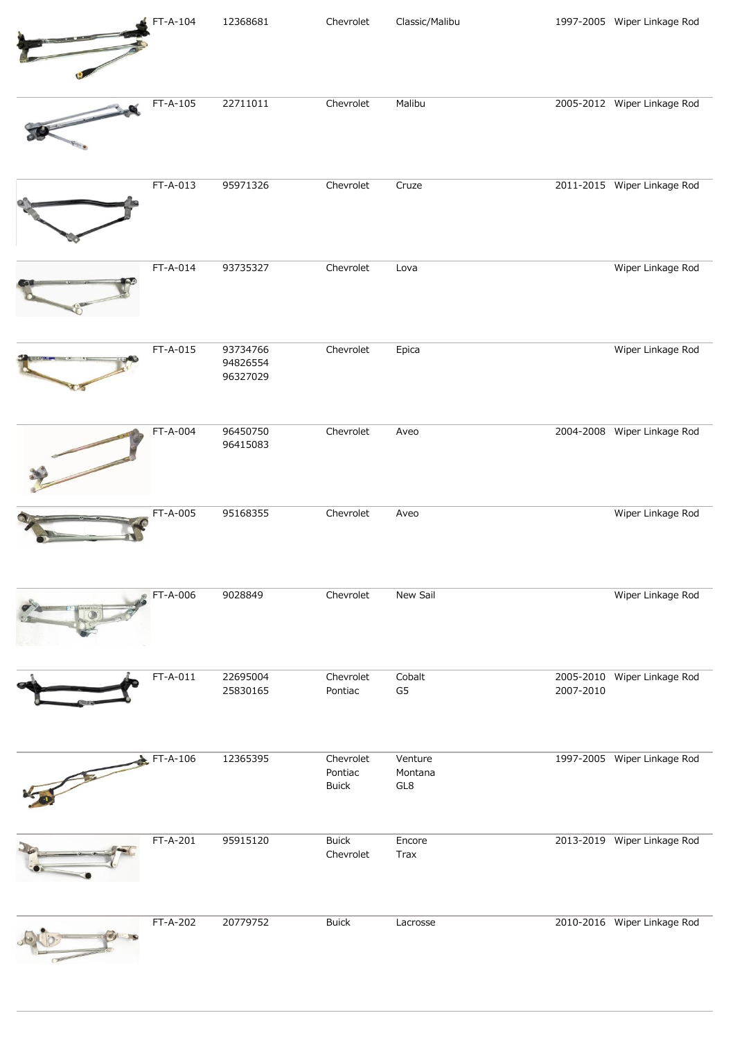| FT-A-104 | 12368681                         | Chevrolet                            | Classic/Malibu            |           | 1997-2005 Wiper Linkage Rod |
|----------|----------------------------------|--------------------------------------|---------------------------|-----------|-----------------------------|
| FT-A-105 | 22711011                         | Chevrolet                            | Malibu                    |           | 2005-2012 Wiper Linkage Rod |
| FT-A-013 | 95971326                         | Chevrolet                            | Cruze                     |           | 2011-2015 Wiper Linkage Rod |
| FT-A-014 | 93735327                         | Chevrolet                            | Lova                      |           | Wiper Linkage Rod           |
| FT-A-015 | 93734766<br>94826554<br>96327029 | Chevrolet                            | Epica                     |           | Wiper Linkage Rod           |
| FT-A-004 | 96450750<br>96415083             | Chevrolet                            | Aveo                      |           | 2004-2008 Wiper Linkage Rod |
| FT-A-005 | 95168355                         | Chevrolet                            | Aveo                      |           | Wiper Linkage Rod           |
| FT-A-006 | 9028849                          | Chevrolet                            | New Sail                  |           | Wiper Linkage Rod           |
| FT-A-011 | 22695004<br>25830165             | Chevrolet<br>Pontiac                 | Cobalt<br>G <sub>5</sub>  | 2007-2010 | 2005-2010 Wiper Linkage Rod |
| FT-A-106 | 12365395                         | Chevrolet<br>Pontiac<br><b>Buick</b> | Venture<br>Montana<br>GL8 |           | 1997-2005 Wiper Linkage Rod |
| FT-A-201 | 95915120                         | <b>Buick</b><br>Chevrolet            | Encore<br>Trax            |           | 2013-2019 Wiper Linkage Rod |
| FT-A-202 | 20779752                         | <b>Buick</b>                         | Lacrosse                  |           | 2010-2016 Wiper Linkage Rod |